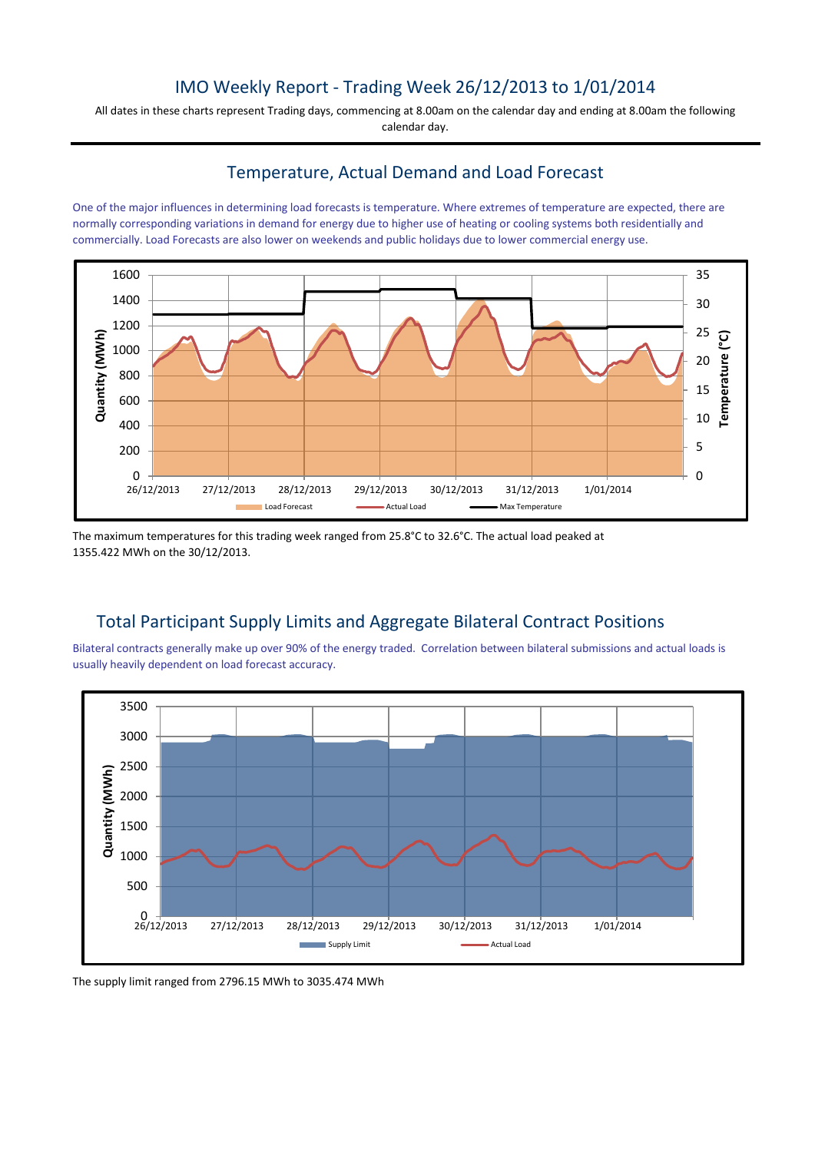## IMO Weekly Report - Trading Week 26/12/2013 to 1/01/2014

All dates in these charts represent Trading days, commencing at 8.00am on the calendar day and ending at 8.00am the following calendar day.

## Temperature, Actual Demand and Load Forecast

One of the major influences in determining load forecasts is temperature. Where extremes of temperature are expected, there are normally corresponding variations in demand for energy due to higher use of heating or cooling systems both residentially and commercially. Load Forecasts are also lower on weekends and public holidays due to lower commercial energy use.



The maximum temperatures for this trading week ranged from 25.8°C to 32.6°C. The actual load peaked at 1355.422 MWh on the 30/12/2013.

## Total Participant Supply Limits and Aggregate Bilateral Contract Positions

Bilateral contracts generally make up over 90% of the energy traded. Correlation between bilateral submissions and actual loads is usually heavily dependent on load forecast accuracy.



The supply limit ranged from 2796.15 MWh to 3035.474 MWh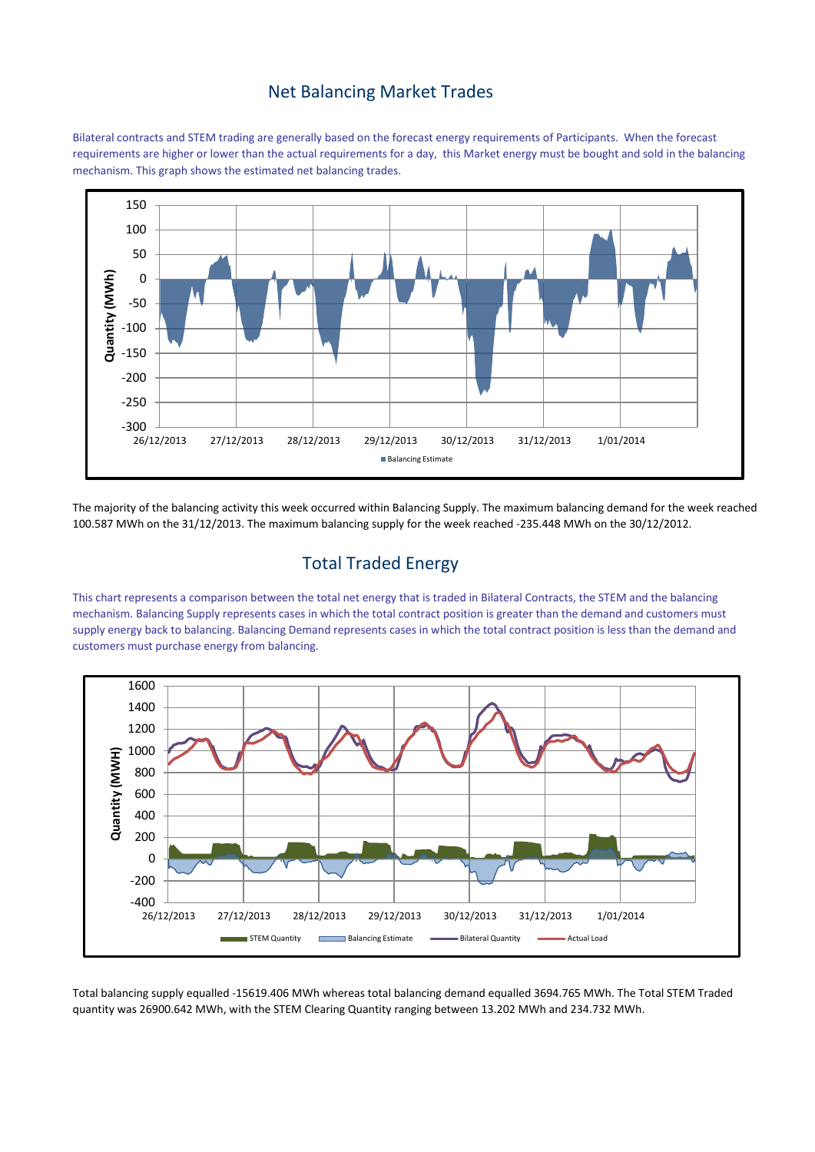#### Net Balancing Market Trades

Bilateral contracts and STEM trading are generally based on the forecast energy requirements of Participants. When the forecast requirements are higher or lower than the actual requirements for a day, this Market energy must be bought and sold in the balancing mechanism. This graph shows the estimated net balancing trades.



The majority of the balancing activity this week occurred within Balancing Supply. The maximum balancing demand for the week reached 100.587 MWh on the 31/12/2013. The maximum balancing supply for the week reached -235.448 MWh on the 30/12/2012.

# Total Traded Energy

This chart represents a comparison between the total net energy that is traded in Bilateral Contracts, the STEM and the balancing mechanism. Balancing Supply represents cases in which the total contract position is greater than the demand and customers must supply energy back to balancing. Balancing Demand represents cases in which the total contract position is less than the demand and customers must purchase energy from balancing.



Total balancing supply equalled -15619.406 MWh whereas total balancing demand equalled 3694.765 MWh. The Total STEM Traded quantity was 26900.642 MWh, with the STEM Clearing Quantity ranging between 13.202 MWh and 234.732 MWh.